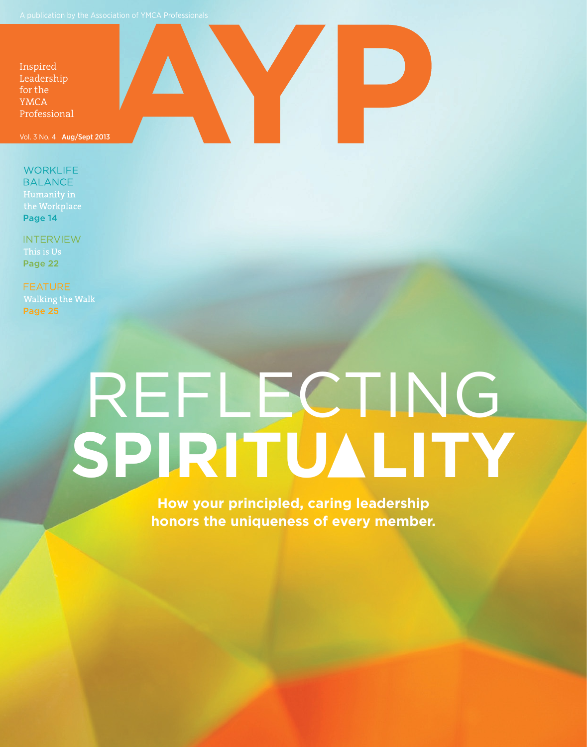

**WORKLIFE BALANCE** the Workplace Page 14

**INTERVIEW** This is Us Page 22

**Walking the Walk** Page 25

## REFLECTING SPIRITUALITY

**How your principled, caring leadership honors the uniqueness of every member.**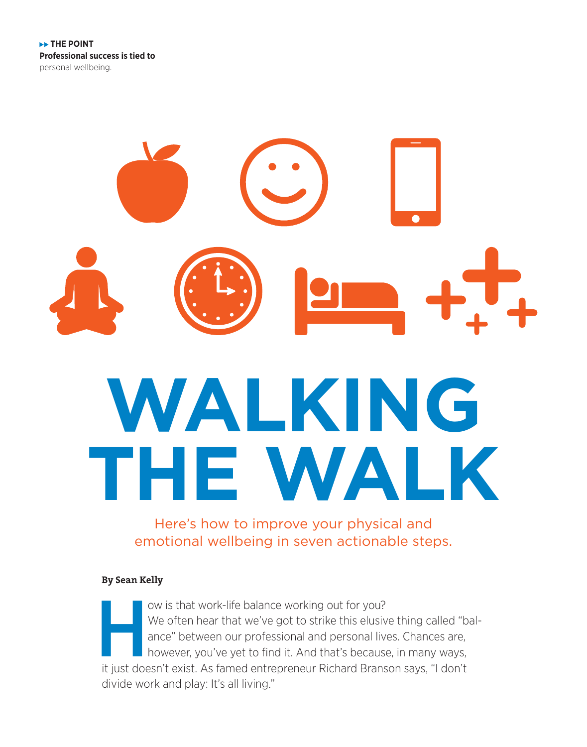# **WALKING THE WALK**

Here's how to improve your physical and emotional wellbeing in seven actionable steps.

#### **By Sean Kelly**

ow is that work-life balance working out for you?<br>We often hear that we've got to strike this elusive ance" between our professional and personal live<br>however, you've yet to find it. And that's becaus<br>it just doesn't exist We often hear that we've got to strike this elusive thing called "balance" between our professional and personal lives. Chances are, however, you've yet to find it. And that's because, in many ways, it just doesn't exist. As famed entrepreneur Richard Branson says, "I don't divide work and play: It's all living."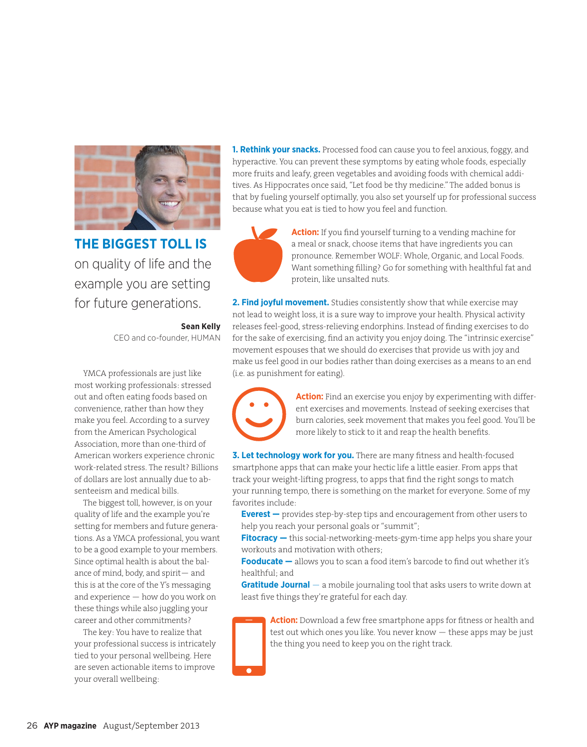

**THE BIGGEST TOLL IS**  on quality of life and the example you are setting for future generations.

**Sean Kelly**

CEO and co-founder, HUMAN

YMCA professionals are just like most working professionals: stressed out and often eating foods based on convenience, rather than how they make you feel. According to a survey from the American Psychological Association, more than one-third of American workers experience chronic work-related stress. The result? Billions of dollars are lost annually due to absenteeism and medical bills.

The biggest toll, however, is on your quality of life and the example you're setting for members and future generations. As a YMCA professional, you want to be a good example to your members. Since optimal health is about the balance of mind, body, and spirit— and this is at the core of the Y's messaging and experience — how do you work on these things while also juggling your career and other commitments?

The key: You have to realize that your professional success is intricately tied to your personal wellbeing. Here are seven actionable items to improve your overall wellbeing:

**1. Rethink your snacks.** Processed food can cause you to feel anxious, foggy, and hyperactive. You can prevent these symptoms by eating whole foods, especially more fruits and leafy, green vegetables and avoiding foods with chemical additives. As Hippocrates once said, "Let food be thy medicine." The added bonus is that by fueling yourself optimally, you also set yourself up for professional success because what you eat is tied to how you feel and function.



**Action:** If you find yourself turning to a vending machine for a meal or snack, choose items that have ingredients you can pronounce. Remember WOLF: Whole, Organic, and Local Foods. Want something filling? Go for something with healthful fat and protein, like unsalted nuts.

**2. Find joyful movement.** Studies consistently show that while exercise may not lead to weight loss, it is a sure way to improve your health. Physical activity releases feel-good, stress-relieving endorphins. Instead of finding exercises to do for the sake of exercising, find an activity you enjoy doing. The "intrinsic exercise" movement espouses that we should do exercises that provide us with joy and make us feel good in our bodies rather than doing exercises as a means to an end (i.e. as punishment for eating).

> **Action:** Find an exercise you enjoy by experimenting with different exercises and movements. Instead of seeking exercises that burn calories, seek movement that makes you feel good. You'll be more likely to stick to it and reap the health benefits.

**3. Let technology work for you.** There are many fitness and health-focused smartphone apps that can make your hectic life a little easier. From apps that track your weight-lifting progress, to apps that find the right songs to match your running tempo, there is something on the market for everyone. Some of my favorites include:

**Everest —** provides step-by-step tips and encouragement from other users to help you reach your personal goals or "summit";

**Fitocracy —** this social-networking-meets-gym-time app helps you share your workouts and motivation with others;

**Fooducate —** allows you to scan a food item's barcode to find out whether it's healthful; and

**Gratitude Journal** — a mobile journaling tool that asks users to write down at least five things they're grateful for each day.



**Action:** Download a few free smartphone apps for fitness or health and test out which ones you like. You never know — these apps may be just the thing you need to keep you on the right track.